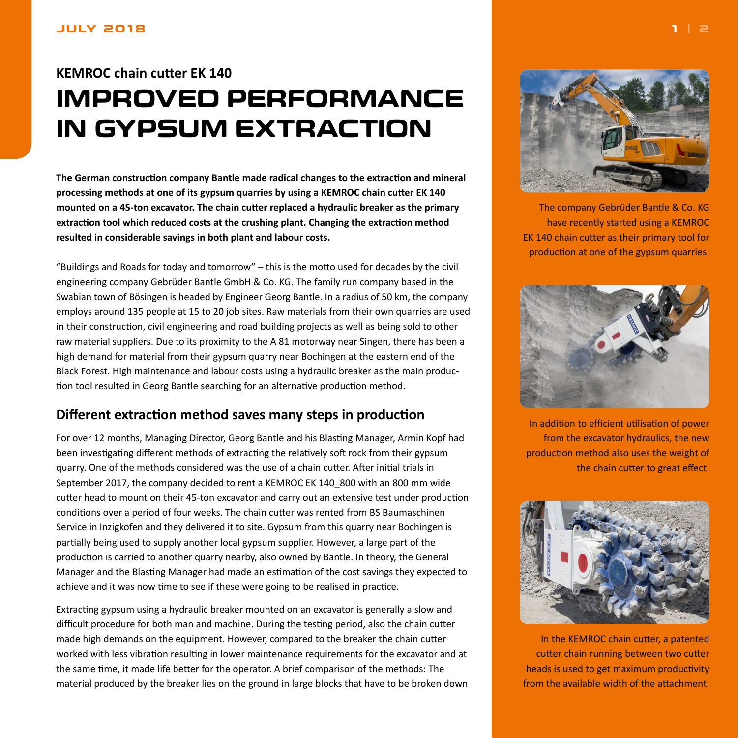# <span id="page-0-0"></span>**KEMROC chain cutter EK 140 IMPROVED PERFORMANCE IN GYPSUM EXTRACTION**

**The German construction company Bantle made radical changes to the extraction and mineral processing methods at one of its gypsum quarries by using a KEMROC chain cutter EK 140 mounted on a 45-ton excavator. The chain cutter replaced a hydraulic breaker as the primary extraction tool which reduced costs at the crushing plant. Changing the extraction method resulted in considerable savings in both plant and labour costs.**

"Buildings and Roads for today and tomorrow" – this is the motto used for decades by the civil engineering company Gebrüder Bantle GmbH & Co. KG. The family run company based in the Swabian town of Bösingen is headed by Engineer Georg Bantle. In a radius of 50 km, the company employs around 135 people at 15 to 20 job sites. Raw materials from their own quarries are used in their construction, civil engineering and road building projects as well as being sold to other raw material suppliers. Due to its proximity to the A 81 motorway near Singen, there has been a high demand for material from their gypsum quarry near Bochingen at the eastern end of the Black Forest. High maintenance and labour costs using a hydraulic breaker as the main production tool resulted in Georg Bantle searching for an alternative production method.

## **Different extraction method saves many steps in production**

For over 12 months, Managing Director, Georg Bantle and his Blasting Manager, Armin Kopf had been investigating different methods of extracting the relatively soft rock from their gypsum quarry. One of the methods considered was the use of a chain cutter. After initial trials in September 2017, the company decided to rent a KEMROC EK 140\_800 with an 800 mm wide cutter head to mount on their 45-ton excavator and carry out an extensive test under production conditions over a period of four weeks. The chain cutter was rented from BS Baumaschinen Service in Inzigkofen and they delivered it to site. Gypsum from this quarry near Bochingen is partially being used to supply another local gypsum supplier. However, a large part of the production is carried to another quarry nearby, also owned by Bantle. In theory, the General Manager and the Blasting Manager had made an estimation of the cost savings they expected to achieve and it was now time to see if these were going to be realised in practice.

Extracting gypsum using a hydraulic breaker mounted on an excavator is generally a slow and difficult procedure for both man and machine. During the testing period, also the chain cutter made high demands on the equipment. However, compared to the breaker the chain cutter worked with less vibration resulting in lower maintenance requirements for the excavator and at the same time, it made life better for the operator. A brief comparison of the methods: The material produced by the breaker lies on the ground in large blocks that have to be broken down



The company Gebrüder Bantle & Co. KG have recently started using a KEMROC EK 140 chain cutter as their primary tool for production at one of the gypsum quarries.



In addition to efficient utilisation of power from the excavator hydraulics, the new production method also uses the weight of the chain cutter to great effect.



In the KEMROC chain cutter, a patented cutter chain running between two cutter heads is used to get maximum productivity from the available width of the attachment.